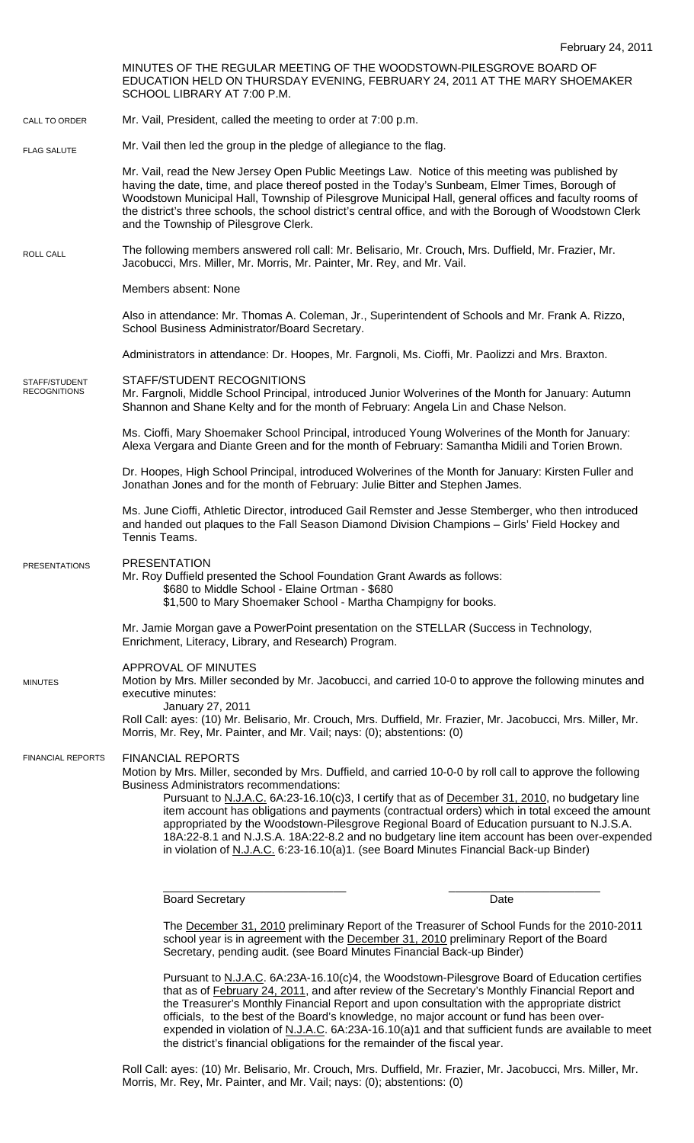MINUTES OF THE REGULAR MEETING OF THE WOODSTOWN-PILESGROVE BOARD OF EDUCATION HELD ON THURSDAY EVENING, FEBRUARY 24, 2011 AT THE MARY SHOEMAKER SCHOOL LIBRARY AT 7:00 P.M. Mr. Vail, President, called the meeting to order at 7:00 p.m. Mr. Vail then led the group in the pledge of allegiance to the flag. Mr. Vail, read the New Jersey Open Public Meetings Law. Notice of this meeting was published by having the date, time, and place thereof posted in the Today's Sunbeam, Elmer Times, Borough of Woodstown Municipal Hall, Township of Pilesgrove Municipal Hall, general offices and faculty rooms of the district's three schools, the school district's central office, and with the Borough of Woodstown Clerk and the Township of Pilesgrove Clerk. The following members answered roll call: Mr. Belisario, Mr. Crouch, Mrs. Duffield, Mr. Frazier, Mr. Jacobucci, Mrs. Miller, Mr. Morris, Mr. Painter, Mr. Rey, and Mr. Vail. Members absent: None Also in attendance: Mr. Thomas A. Coleman, Jr., Superintendent of Schools and Mr. Frank A. Rizzo, School Business Administrator/Board Secretary. Administrators in attendance: Dr. Hoopes, Mr. Fargnoli, Ms. Cioffi, Mr. Paolizzi and Mrs. Braxton. STAFF/STUDENT RECOGNITIONS Mr. Fargnoli, Middle School Principal, introduced Junior Wolverines of the Month for January: Autumn Shannon and Shane Kelty and for the month of February: Angela Lin and Chase Nelson. Ms. Cioffi, Mary Shoemaker School Principal, introduced Young Wolverines of the Month for January: Alexa Vergara and Diante Green and for the month of February: Samantha Midili and Torien Brown. Dr. Hoopes, High School Principal, introduced Wolverines of the Month for January: Kirsten Fuller and Jonathan Jones and for the month of February: Julie Bitter and Stephen James. Ms. June Cioffi, Athletic Director, introduced Gail Remster and Jesse Stemberger, who then introduced and handed out plaques to the Fall Season Diamond Division Champions – Girls' Field Hockey and Tennis Teams. PRESENTATION Mr. Roy Duffield presented the School Foundation Grant Awards as follows: \$680 to Middle School - Elaine Ortman - \$680 \$1,500 to Mary Shoemaker School - Martha Champigny for books. Mr. Jamie Morgan gave a PowerPoint presentation on the STELLAR (Success in Technology, Enrichment, Literacy, Library, and Research) Program. APPROVAL OF MINUTES Motion by Mrs. Miller seconded by Mr. Jacobucci, and carried 10-0 to approve the following minutes and executive minutes: January 27, 2011 Roll Call: ayes: (10) Mr. Belisario, Mr. Crouch, Mrs. Duffield, Mr. Frazier, Mr. Jacobucci, Mrs. Miller, Mr. Morris, Mr. Rey, Mr. Painter, and Mr. Vail; nays: (0); abstentions: (0) FINANCIAL REPORTS Motion by Mrs. Miller, seconded by Mrs. Duffield, and carried 10-0-0 by roll call to approve the following Business Administrators recommendations: Pursuant to N.J.A.C. 6A:23-16.10(c)3, I certify that as of December 31, 2010, no budgetary line item account has obligations and payments (contractual orders) which in total exceed the amount appropriated by the Woodstown-Pilesgrove Regional Board of Education pursuant to N.J.S.A. 18A:22-8.1 and N.J.S.A. 18A:22-8.2 and no budgetary line item account has been over-expended in violation of N.J.A.C. 6:23-16.10(a)1. (see Board Minutes Financial Back-up Binder) \_\_\_\_\_\_\_\_\_\_\_\_\_\_\_\_\_\_\_\_\_\_\_\_\_\_\_\_\_ \_\_\_\_\_\_\_\_\_\_\_\_\_\_\_\_\_\_\_\_\_\_\_\_ Board Secretary **Date** The December 31, 2010 preliminary Report of the Treasurer of School Funds for the 2010-2011 school year is in agreement with the December 31, 2010 preliminary Report of the Board Secretary, pending audit. (see Board Minutes Financial Back-up Binder) Pursuant to N.J.A.C. 6A:23A-16.10(c)4, the Woodstown-Pilesgrove Board of Education certifies that as of February 24, 2011, and after review of the Secretary's Monthly Financial Report and the Treasurer's Monthly Financial Report and upon consultation with the appropriate district officials, to the best of the Board's knowledge, no major account or fund has been over-CALL TO ORDER ROLL CALL FLAG SALUTE MINUTES FINANCIAL REPORTS STAFF/STUDENT **RECOGNITIONS** PRESENTATIONS

expended in violation of N.J.A.C. 6A:23A-16.10(a)1 and that sufficient funds are available to meet the district's financial obligations for the remainder of the fiscal year.

Roll Call: ayes: (10) Mr. Belisario, Mr. Crouch, Mrs. Duffield, Mr. Frazier, Mr. Jacobucci, Mrs. Miller, Mr. Morris, Mr. Rey, Mr. Painter, and Mr. Vail; nays: (0); abstentions: (0)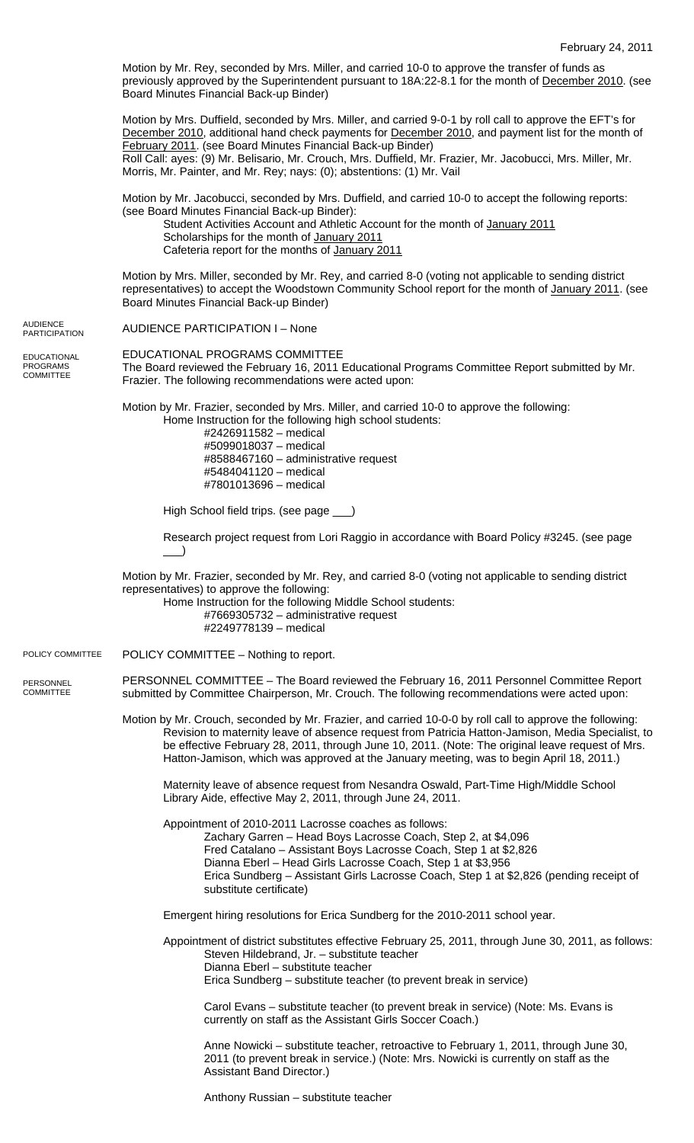Motion by Mr. Rey, seconded by Mrs. Miller, and carried 10-0 to approve the transfer of funds as previously approved by the Superintendent pursuant to 18A:22-8.1 for the month of December 2010. (see Board Minutes Financial Back-up Binder)

Motion by Mrs. Duffield, seconded by Mrs. Miller, and carried 9-0-1 by roll call to approve the EFT's for December 2010, additional hand check payments for December 2010, and payment list for the month of February 2011. (see Board Minutes Financial Back-up Binder) Roll Call: ayes: (9) Mr. Belisario, Mr. Crouch, Mrs. Duffield, Mr. Frazier, Mr. Jacobucci, Mrs. Miller, Mr. Morris, Mr. Painter, and Mr. Rey; nays: (0); abstentions: (1) Mr. Vail

Motion by Mr. Jacobucci, seconded by Mrs. Duffield, and carried 10-0 to accept the following reports: (see Board Minutes Financial Back-up Binder):

Student Activities Account and Athletic Account for the month of January 2011 Scholarships for the month of January 2011 Cafeteria report for the months of January 2011

Motion by Mrs. Miller, seconded by Mr. Rey, and carried 8-0 (voting not applicable to sending district representatives) to accept the Woodstown Community School report for the month of January 2011. (see Board Minutes Financial Back-up Binder)

|                                                           | Board Minutes Financial Back-up Binder)                                                                                                                                                                                                                                                                                                                                                                       |
|-----------------------------------------------------------|---------------------------------------------------------------------------------------------------------------------------------------------------------------------------------------------------------------------------------------------------------------------------------------------------------------------------------------------------------------------------------------------------------------|
| <b>AUDIENCE</b><br><b>PARTICIPATION</b>                   | <b>AUDIENCE PARTICIPATION I - None</b>                                                                                                                                                                                                                                                                                                                                                                        |
| <b>EDUCATIONAL</b><br><b>PROGRAMS</b><br><b>COMMITTEE</b> | EDUCATIONAL PROGRAMS COMMITTEE<br>The Board reviewed the February 16, 2011 Educational Programs Committee Report submitted by Mr.<br>Frazier. The following recommendations were acted upon:                                                                                                                                                                                                                  |
|                                                           | Motion by Mr. Frazier, seconded by Mrs. Miller, and carried 10-0 to approve the following:<br>Home Instruction for the following high school students:<br>#2426911582 - medical<br>#5099018037 - medical<br>#8588467160 - administrative request<br>#5484041120 - medical<br>#7801013696 - medical                                                                                                            |
|                                                           | High School field trips. (see page __)                                                                                                                                                                                                                                                                                                                                                                        |
|                                                           | Research project request from Lori Raggio in accordance with Board Policy #3245. (see page                                                                                                                                                                                                                                                                                                                    |
|                                                           | Motion by Mr. Frazier, seconded by Mr. Rey, and carried 8-0 (voting not applicable to sending district<br>representatives) to approve the following:<br>Home Instruction for the following Middle School students:<br>#7669305732 - administrative request<br>#2249778139 - medical                                                                                                                           |
| POLICY COMMITTEE                                          | POLICY COMMITTEE - Nothing to report.                                                                                                                                                                                                                                                                                                                                                                         |
| PERSONNEL<br><b>COMMITTEE</b>                             | PERSONNEL COMMITTEE - The Board reviewed the February 16, 2011 Personnel Committee Report<br>submitted by Committee Chairperson, Mr. Crouch. The following recommendations were acted upon:                                                                                                                                                                                                                   |
|                                                           | Motion by Mr. Crouch, seconded by Mr. Frazier, and carried 10-0-0 by roll call to approve the following:<br>Revision to maternity leave of absence request from Patricia Hatton-Jamison, Media Specialist, to<br>be effective February 28, 2011, through June 10, 2011. (Note: The original leave request of Mrs.<br>Hatton-Jamison, which was approved at the January meeting, was to begin April 18, 2011.) |
|                                                           | Maternity leave of absence request from Nesandra Oswald, Part-Time High/Middle School<br>Library Aide, effective May 2, 2011, through June 24, 2011.                                                                                                                                                                                                                                                          |
|                                                           | Appointment of 2010-2011 Lacrosse coaches as follows:<br>Zachary Garren - Head Boys Lacrosse Coach, Step 2, at \$4,096<br>Fred Catalano - Assistant Boys Lacrosse Coach, Step 1 at \$2,826<br>Dianna Eberl - Head Girls Lacrosse Coach, Step 1 at \$3,956<br>Erica Sundberg - Assistant Girls Lacrosse Coach, Step 1 at \$2,826 (pending receipt of<br>substitute certificate)                                |
|                                                           | Emergent hiring resolutions for Erica Sundberg for the 2010-2011 school year.                                                                                                                                                                                                                                                                                                                                 |
|                                                           | Appointment of district substitutes effective February 25, 2011, through June 30, 2011, as follows:<br>Steven Hildebrand, Jr. - substitute teacher<br>Dianna Eberl - substitute teacher<br>Erica Sundberg – substitute teacher (to prevent break in service)                                                                                                                                                  |
|                                                           | Carol Evans – substitute teacher (to prevent break in service) (Note: Ms. Evans is<br>currently on staff as the Assistant Girls Soccer Coach.)                                                                                                                                                                                                                                                                |
|                                                           | Anne Nowicki – substitute teacher, retroactive to February 1, 2011, through June 30,<br>2011 (to prevent break in service.) (Note: Mrs. Nowicki is currently on staff as the<br>Assistant Band Director.)                                                                                                                                                                                                     |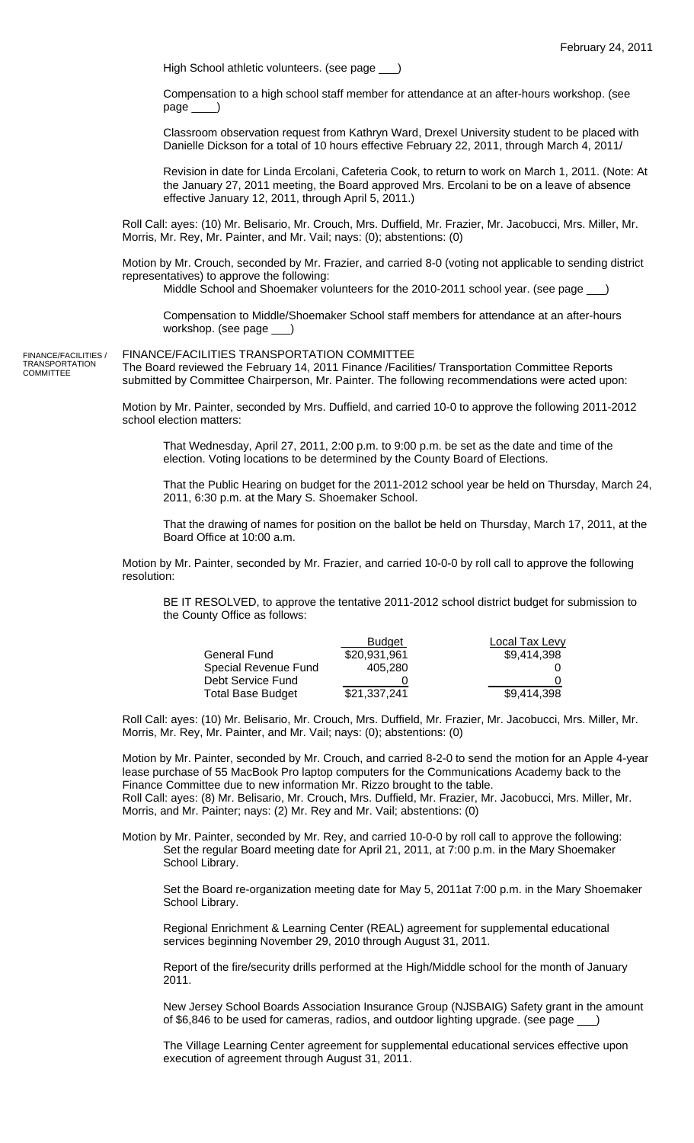High School athletic volunteers. (see page \_\_\_

Compensation to a high school staff member for attendance at an after-hours workshop. (see page \_\_\_\_)

Classroom observation request from Kathryn Ward, Drexel University student to be placed with Danielle Dickson for a total of 10 hours effective February 22, 2011, through March 4, 2011/

Revision in date for Linda Ercolani, Cafeteria Cook, to return to work on March 1, 2011. (Note: At the January 27, 2011 meeting, the Board approved Mrs. Ercolani to be on a leave of absence effective January 12, 2011, through April 5, 2011.)

Roll Call: ayes: (10) Mr. Belisario, Mr. Crouch, Mrs. Duffield, Mr. Frazier, Mr. Jacobucci, Mrs. Miller, Mr. Morris, Mr. Rey, Mr. Painter, and Mr. Vail; nays: (0); abstentions: (0)

Motion by Mr. Crouch, seconded by Mr. Frazier, and carried 8-0 (voting not applicable to sending district representatives) to approve the following:

Middle School and Shoemaker volunteers for the 2010-2011 school year. (see page \_\_\_)

Compensation to Middle/Shoemaker School staff members for attendance at an after-hours workshop. (see page \_\_\_)

FINANCE/FACILITIES / **TRANSPORTATION** COMMITTEE

FINANCE/FACILITIES TRANSPORTATION COMMITTEE

The Board reviewed the February 14, 2011 Finance /Facilities/ Transportation Committee Reports submitted by Committee Chairperson, Mr. Painter. The following recommendations were acted upon:

Motion by Mr. Painter, seconded by Mrs. Duffield, and carried 10-0 to approve the following 2011-2012 school election matters:

That Wednesday, April 27, 2011, 2:00 p.m. to 9:00 p.m. be set as the date and time of the election. Voting locations to be determined by the County Board of Elections.

That the Public Hearing on budget for the 2011-2012 school year be held on Thursday, March 24, 2011, 6:30 p.m. at the Mary S. Shoemaker School.

That the drawing of names for position on the ballot be held on Thursday, March 17, 2011, at the Board Office at 10:00 a.m.

Motion by Mr. Painter, seconded by Mr. Frazier, and carried 10-0-0 by roll call to approve the following resolution:

BE IT RESOLVED, to approve the tentative 2011-2012 school district budget for submission to the County Office as follows:

|                          | <b>Budget</b> | Local Tax Levy |
|--------------------------|---------------|----------------|
| General Fund             | \$20.931.961  | \$9,414,398    |
| Special Revenue Fund     | 405.280       |                |
| Debt Service Fund        |               |                |
| <b>Total Base Budget</b> | \$21,337,241  | \$9,414,398    |

Roll Call: ayes: (10) Mr. Belisario, Mr. Crouch, Mrs. Duffield, Mr. Frazier, Mr. Jacobucci, Mrs. Miller, Mr. Morris, Mr. Rey, Mr. Painter, and Mr. Vail; nays: (0); abstentions: (0)

Motion by Mr. Painter, seconded by Mr. Crouch, and carried 8-2-0 to send the motion for an Apple 4-year lease purchase of 55 MacBook Pro laptop computers for the Communications Academy back to the Finance Committee due to new information Mr. Rizzo brought to the table.

Roll Call: ayes: (8) Mr. Belisario, Mr. Crouch, Mrs. Duffield, Mr. Frazier, Mr. Jacobucci, Mrs. Miller, Mr. Morris, and Mr. Painter; nays: (2) Mr. Rey and Mr. Vail; abstentions: (0)

Motion by Mr. Painter, seconded by Mr. Rey, and carried 10-0-0 by roll call to approve the following: Set the regular Board meeting date for April 21, 2011, at 7:00 p.m. in the Mary Shoemaker School Library.

Set the Board re-organization meeting date for May 5, 2011at 7:00 p.m. in the Mary Shoemaker School Library.

Regional Enrichment & Learning Center (REAL) agreement for supplemental educational services beginning November 29, 2010 through August 31, 2011.

Report of the fire/security drills performed at the High/Middle school for the month of January 2011.

New Jersey School Boards Association Insurance Group (NJSBAIG) Safety grant in the amount of \$6,846 to be used for cameras, radios, and outdoor lighting upgrade. (see page

The Village Learning Center agreement for supplemental educational services effective upon execution of agreement through August 31, 2011.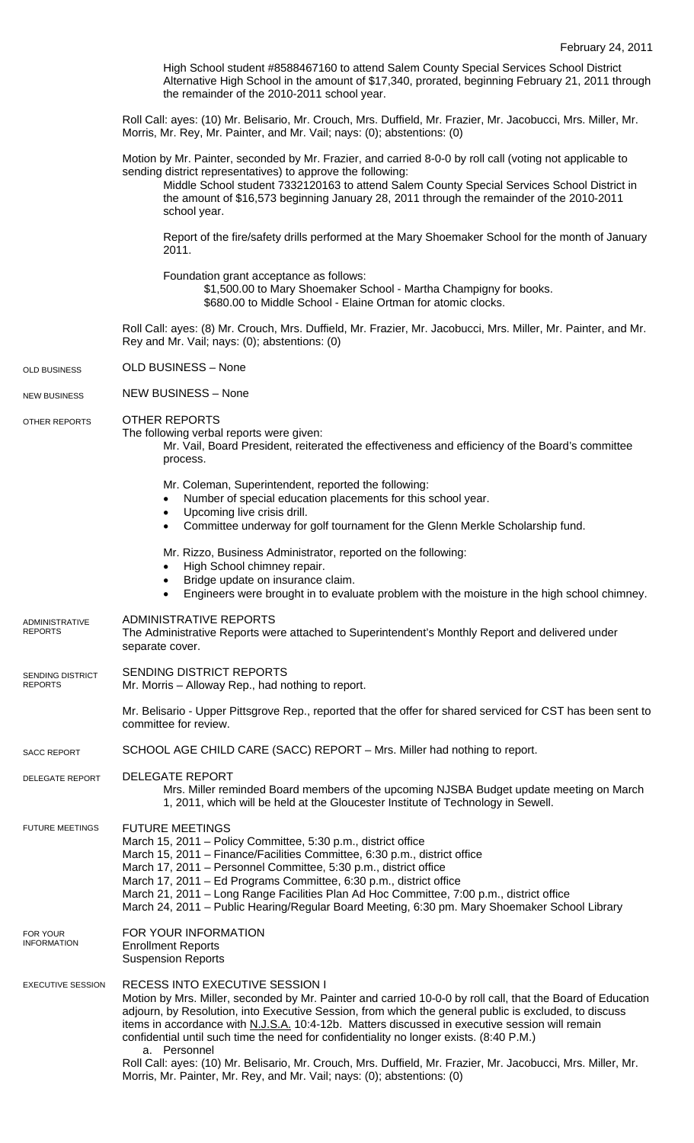High School student #8588467160 to attend Salem County Special Services School District Alternative High School in the amount of \$17,340, prorated, beginning February 21, 2011 through the remainder of the 2010-2011 school year.

Roll Call: ayes: (10) Mr. Belisario, Mr. Crouch, Mrs. Duffield, Mr. Frazier, Mr. Jacobucci, Mrs. Miller, Mr. Morris, Mr. Rey, Mr. Painter, and Mr. Vail; nays: (0); abstentions: (0)

Motion by Mr. Painter, seconded by Mr. Frazier, and carried 8-0-0 by roll call (voting not applicable to sending district representatives) to approve the following:

Middle School student 7332120163 to attend Salem County Special Services School District in the amount of \$16,573 beginning January 28, 2011 through the remainder of the 2010-2011 school year.

Report of the fire/safety drills performed at the Mary Shoemaker School for the month of January 2011.

Foundation grant acceptance as follows:

\$1,500.00 to Mary Shoemaker School - Martha Champigny for books.

\$680.00 to Middle School - Elaine Ortman for atomic clocks.

Roll Call: ayes: (8) Mr. Crouch, Mrs. Duffield, Mr. Frazier, Mr. Jacobucci, Mrs. Miller, Mr. Painter, and Mr. Rey and Mr. Vail; nays: (0); abstentions: (0)

OLD BUSINESS – None OLD BUSINESS

NEW BUSINESS – None NEW BUSINESS

OTHER REPORTS OTHER REPORTS

The following verbal reports were given:

Mr. Vail, Board President, reiterated the effectiveness and efficiency of the Board's committee process.

Mr. Coleman, Superintendent, reported the following:

- Number of special education placements for this school year.
- Upcoming live crisis drill.
- Committee underway for golf tournament for the Glenn Merkle Scholarship fund.
- Mr. Rizzo, Business Administrator, reported on the following:
	- High School chimney repair.
- Bridge update on insurance claim.
- Engineers were brought in to evaluate problem with the moisture in the high school chimney.
- ADMINISTRATIVE REPORTS ADMINISTRATIVE

The Administrative Reports were attached to Superintendent's Monthly Report and delivered under separate cover. REPORTS

SENDING DISTRICT REPORTS SENDING DISTRICT REPORTS

Mr. Morris – Alloway Rep., had nothing to report.

Mr. Belisario - Upper Pittsgrove Rep., reported that the offer for shared serviced for CST has been sent to committee for review.

SCHOOL AGE CHILD CARE (SACC) REPORT – Mrs. Miller had nothing to report. SACC REPORT

DELEGATE REPORT DELEGATE REPORT

> Mrs. Miller reminded Board members of the upcoming NJSBA Budget update meeting on March 1, 2011, which will be held at the Gloucester Institute of Technology in Sewell.

FUTURE MEETINGS March 15, 2011 – Policy Committee, 5:30 p.m., district office FUTURE MEETINGS

March 15, 2011 – Finance/Facilities Committee, 6:30 p.m., district office

Morris, Mr. Painter, Mr. Rey, and Mr. Vail; nays: (0); abstentions: (0)

- March 17, 2011 Personnel Committee, 5:30 p.m., district office
- March 17, 2011 Ed Programs Committee, 6:30 p.m., district office
	- March 21, 2011 Long Range Facilities Plan Ad Hoc Committee, 7:00 p.m., district office

March 24, 2011 – Public Hearing/Regular Board Meeting, 6:30 pm. Mary Shoemaker School Library

- FOR YOUR INFORMATION Enrollment Reports FOR YOUR INFORMATION
	- Suspension Reports

## EXECUTIVE SESSION RECESS INTO EXECUTIVE SESSION I

Motion by Mrs. Miller, seconded by Mr. Painter and carried 10-0-0 by roll call, that the Board of Education adjourn, by Resolution, into Executive Session, from which the general public is excluded, to discuss items in accordance with N.J.S.A. 10:4-12b. Matters discussed in executive session will remain confidential until such time the need for confidentiality no longer exists. (8:40 P.M.) Personnel Roll Call: ayes: (10) Mr. Belisario, Mr. Crouch, Mrs. Duffield, Mr. Frazier, Mr. Jacobucci, Mrs. Miller, Mr.